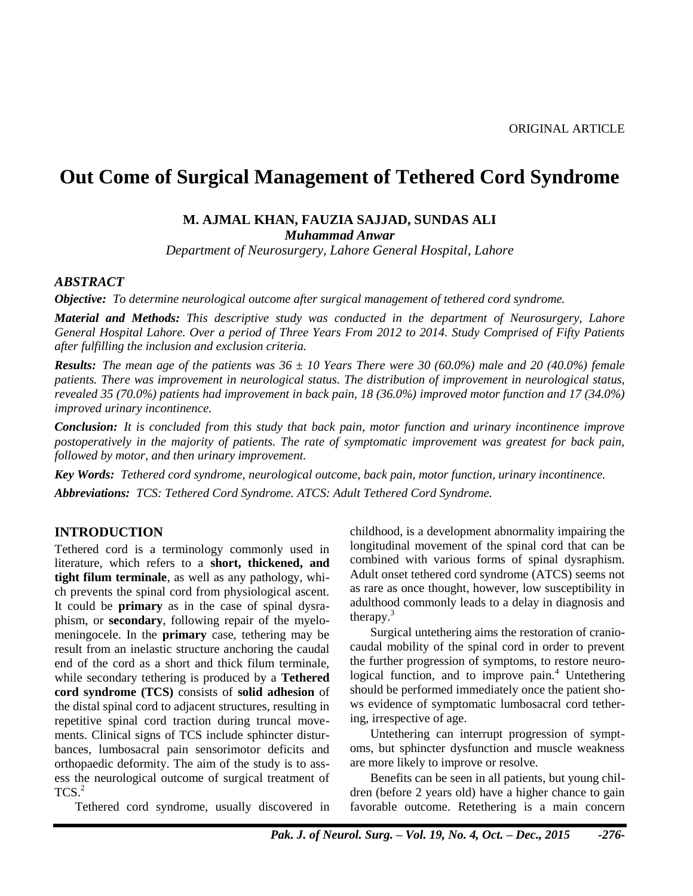# **Out Come of Surgical Management of Tethered Cord Syndrome**

#### **M. AJMAL KHAN, FAUZIA SAJJAD, SUNDAS ALI** *Muhammad Anwar*

*Department of Neurosurgery, Lahore General Hospital, Lahore*

#### *ABSTRACT*

*Objective: To determine neurological outcome after surgical management of tethered cord syndrome.*

*Material and Methods: This descriptive study was conducted in the department of Neurosurgery, Lahore General Hospital Lahore. Over a period of Three Years From 2012 to 2014. Study Comprised of Fifty Patients after fulfilling the inclusion and exclusion criteria.*

*Results: The mean age of the patients was 36 ± 10 Years There were 30 (60.0%) male and 20 (40.0%) female patients. There was improvement in neurological status. The distribution of improvement in neurological status, revealed 35 (70.0%) patients had improvement in back pain, 18 (36.0%) improved motor function and 17 (34.0%) improved urinary incontinence.*

*Conclusion: It is concluded from this study that back pain, motor function and urinary incontinence improve postoperatively in the majority of patients. The rate of symptomatic improvement was greatest for back pain, followed by motor, and then urinary improvement.*

*Key Words: Tethered cord syndrome, neurological outcome, back pain, motor function, urinary incontinence. Abbreviations: TCS: Tethered Cord Syndrome. ATCS: Adult Tethered Cord Syndrome.*

#### **INTRODUCTION**

Tethered cord is a terminology commonly used in literature, which refers to a **short, thickened, and tight filum terminale**, as well as any pathology, which prevents the spinal cord from physiological ascent. It could be **primary** as in the case of spinal dysraphism, or **secondary**, following repair of the myelomeningocele. In the **primary** case, tethering may be result from an inelastic structure anchoring the caudal end of the cord as a short and thick filum terminale, while secondary tethering is produced by a **Tethered cord syndrome (TCS)** consists of **solid adhesion** of the distal spinal cord to adjacent structures, resulting in repetitive spinal cord traction during truncal movements. Clinical signs of TCS include sphincter disturbances, lumbosacral pain sensorimotor deficits and orthopaedic deformity. The aim of the study is to assess the neurological outcome of surgical treatment of  $TCS.<sup>2</sup>$ 

Tethered cord syndrome, usually discovered in

childhood, is a development abnormality impairing the longitudinal movement of the spinal cord that can be combined with various forms of spinal dysraphism. Adult onset tethered cord syndrome (ATCS) seems not as rare as once thought, however, low susceptibility in adulthood commonly leads to a delay in diagnosis and therapy. $3$ 

Surgical untethering aims the restoration of craniocaudal mobility of the spinal cord in order to prevent the further progression of symptoms, to restore neurological function, and to improve pain.<sup>4</sup> Untethering should be performed immediately once the patient shows evidence of symptomatic lumbosacral cord tethering, irrespective of age.

Untethering can interrupt progression of symptoms, but sphincter dysfunction and muscle weakness are more likely to improve or resolve.

Benefits can be seen in all patients, but young children (before 2 years old) have a higher chance to gain favorable outcome. Retethering is a main concern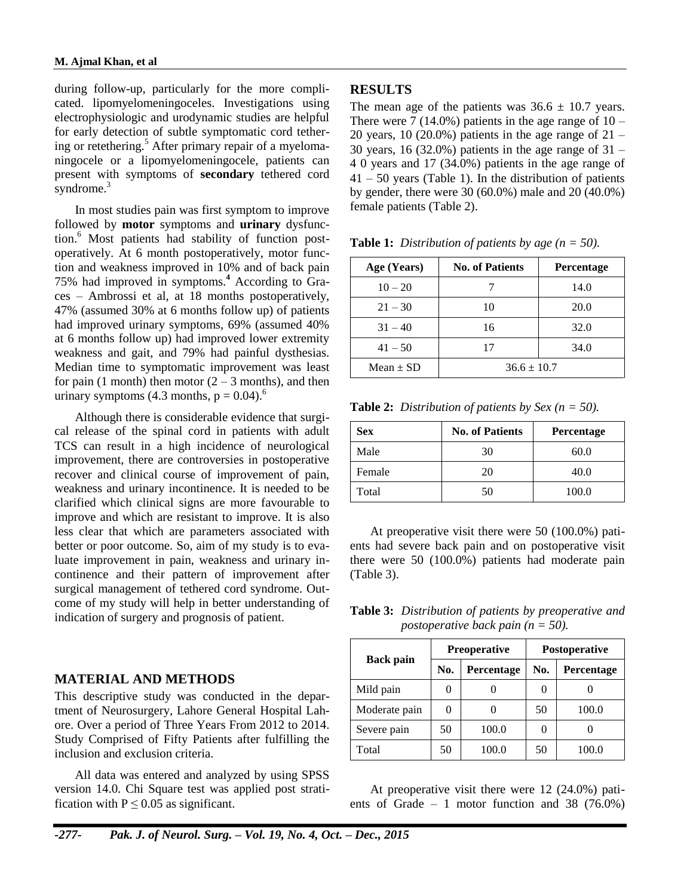during follow-up, particularly for the more complicated. lipomyelomeningoceles. Investigations using electrophysiologic and urodynamic studies are helpful for early detection of subtle symptomatic cord tethering or retethering.<sup>5</sup> After primary repair of a myelomaningocele or a lipomyelomeningocele, patients can present with symptoms of **secondary** tethered cord syndrome. $3$ 

In most studies pain was first symptom to improve followed by **motor** symptoms and **urinary** dysfunction.<sup>6</sup> Most patients had stability of function postoperatively. At 6 month postoperatively, motor function and weakness improved in 10% and of back pain 75% had improved in symptoms.**<sup>4</sup>** According to Graces – Ambrossi et al, at 18 months postoperatively, 47% (assumed 30% at 6 months follow up) of patients had improved urinary symptoms, 69% (assumed 40% at 6 months follow up) had improved lower extremity weakness and gait, and 79% had painful dysthesias. Median time to symptomatic improvement was least for pain (1 month) then motor  $(2 – 3$  months), and then urinary symptoms (4.3 months,  $p = 0.04$ ).<sup>6</sup>

Although there is considerable evidence that surgical release of the spinal cord in patients with adult TCS can result in a high incidence of neurological improvement, there are controversies in postoperative recover and clinical course of improvement of pain, weakness and urinary incontinence. It is needed to be clarified which clinical signs are more favourable to improve and which are resistant to improve. It is also less clear that which are parameters associated with better or poor outcome. So, aim of my study is to evaluate improvement in pain, weakness and urinary incontinence and their pattern of improvement after surgical management of tethered cord syndrome. Outcome of my study will help in better understanding of indication of surgery and prognosis of patient.

## **MATERIAL AND METHODS**

This descriptive study was conducted in the department of Neurosurgery, Lahore General Hospital Lahore. Over a period of Three Years From 2012 to 2014. Study Comprised of Fifty Patients after fulfilling the inclusion and exclusion criteria.

All data was entered and analyzed by using SPSS version 14.0. Chi Square test was applied post stratification with  $P \le 0.05$  as significant.

#### **RESULTS**

The mean age of the patients was  $36.6 \pm 10.7$  years. There were  $7(14.0\%)$  patients in the age range of  $10 -$ 20 years, 10 (20.0%) patients in the age range of  $21 -$ 30 years, 16 (32.0%) patients in the age range of  $31 -$ 4 0 years and 17 (34.0%) patients in the age range of  $41 - 50$  years (Table 1). In the distribution of patients by gender, there were 30 (60.0%) male and 20 (40.0%) female patients (Table 2).

| Age (Years)   | <b>No. of Patients</b> | <b>Percentage</b> |  |
|---------------|------------------------|-------------------|--|
| $10 - 20$     |                        | 14.0              |  |
| $21 - 30$     | 10                     | 20.0              |  |
| $31 - 40$     | 16                     | 32.0              |  |
| $41 - 50$     | 17                     | 34.0              |  |
| Mean $\pm$ SD | $36.6 \pm 10.7$        |                   |  |

**Table 1:** *Distribution of patients by age (n = 50).*

**Table 2:** *Distribution of patients by Sex (n = 50).* 

| Sex    | <b>No. of Patients</b> | <b>Percentage</b> |
|--------|------------------------|-------------------|
| Male   | 30                     | 60.0              |
| Female | 20                     | 40.0              |
| Total  | 50                     | 100.0             |

At preoperative visit there were 50 (100.0%) patients had severe back pain and on postoperative visit there were 50 (100.0%) patients had moderate pain (Table 3).

**Table 3:** *Distribution of patients by preoperative and postoperative back pain (n = 50).*

|                  |     | <b>Preoperative</b> | <b>Postoperative</b> |            |  |
|------------------|-----|---------------------|----------------------|------------|--|
| <b>Back pain</b> | No. | Percentage          | No.                  | Percentage |  |
| Mild pain        |     |                     |                      |            |  |
| Moderate pain    |     |                     | 50                   | 100.0      |  |
| Severe pain      | 50  | 100.0               |                      |            |  |
| Total            | 50  |                     | 50                   | 100.0      |  |

At preoperative visit there were 12 (24.0%) patients of Grade  $-1$  motor function and 38 (76.0%)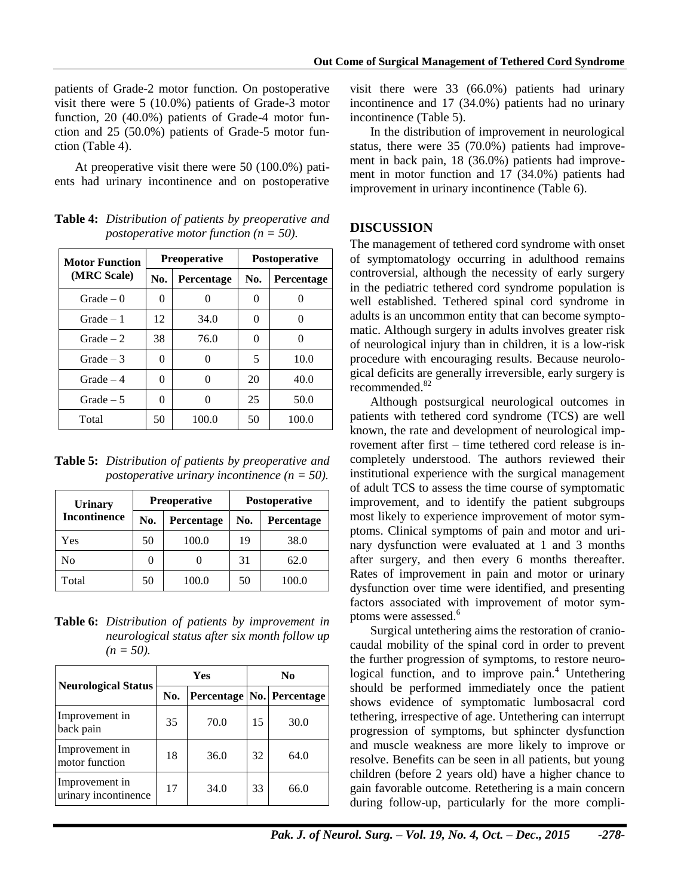patients of Grade-2 motor function. On postoperative visit there were 5 (10.0%) patients of Grade-3 motor function, 20 (40.0%) patients of Grade-4 motor function and 25 (50.0%) patients of Grade-5 motor function (Table 4).

At preoperative visit there were 50 (100.0%) patients had urinary incontinence and on postoperative

**Table 4:** *Distribution of patients by preoperative and postoperative motor function (n = 50).*

| <b>Motor Function</b> |          | <b>Preoperative</b> | <b>Postoperative</b> |            |
|-----------------------|----------|---------------------|----------------------|------------|
| (MRC Scale)           | No.      | Percentage          | No.                  | Percentage |
| $Grade - 0$           | $\Omega$ |                     | $\theta$             | 0          |
| $Grade - 1$           | 12       | 34.0                | $\theta$             | 0          |
| $Grade - 2$           | 38       | 76.0                | $\theta$             | 0          |
| $Grade - 3$           | 0        |                     | 5                    | 10.0       |
| $Grade - 4$           | 0        |                     | 20                   | 40.0       |
| Grade $-5$            | 0        | $\Omega$            | 25                   | 50.0       |
| Total                 | 50       | 100.0               | 50                   | 100.0      |

**Table 5:** *Distribution of patients by preoperative and postoperative urinary incontinence (n = 50).*

| <b>Urinary</b>      |          | Preoperative | <b>Postoperative</b> |            |  |
|---------------------|----------|--------------|----------------------|------------|--|
| <b>Incontinence</b> | No.      | Percentage   | No.                  | Percentage |  |
| Yes                 | 50       | 100.0        | 19                   | 38.0       |  |
| No                  | $\theta$ |              | 31                   | 62.0       |  |
| Total               | 50       | 100.0        | 50                   | 100.0      |  |

**Table 6:** *Distribution of patients by improvement in neurological status after six month follow up (n = 50).*

|                                        | Yes |      | N <sub>0</sub> |                               |
|----------------------------------------|-----|------|----------------|-------------------------------|
| <b>Neurological Status</b>             | No. |      |                | Percentage   No.   Percentage |
| Improvement in<br>back pain            | 35  | 70.0 | 15             | 30.0                          |
| Improvement in<br>motor function       | 18  | 36.0 | 32             | 64.0                          |
| Improvement in<br>urinary incontinence | 17  | 34.0 | 33             | 66.0                          |

visit there were 33 (66.0%) patients had urinary incontinence and 17 (34.0%) patients had no urinary incontinence (Table 5).

In the distribution of improvement in neurological status, there were 35 (70.0%) patients had improvement in back pain, 18 (36.0%) patients had improvement in motor function and 17 (34.0%) patients had improvement in urinary incontinence (Table 6).

# **DISCUSSION**

The management of tethered cord syndrome with onset of symptomatology occurring in adulthood remains controversial, although the necessity of early surgery in the pediatric tethered cord syndrome population is well established. Tethered spinal cord syndrome in adults is an uncommon entity that can become symptomatic. Although surgery in adults involves greater risk of neurological injury than in children, it is a low-risk procedure with encouraging results. Because neurological deficits are generally irreversible, early surgery is recommended.<sup>82</sup>

Although postsurgical neurological outcomes in patients with tethered cord syndrome (TCS) are well known, the rate and development of neurological improvement after first – time tethered cord release is incompletely understood. The authors reviewed their institutional experience with the surgical management of adult TCS to assess the time course of symptomatic improvement, and to identify the patient subgroups most likely to experience improvement of motor symptoms. Clinical symptoms of pain and motor and urinary dysfunction were evaluated at 1 and 3 months after surgery, and then every 6 months thereafter. Rates of improvement in pain and motor or urinary dysfunction over time were identified, and presenting factors associated with improvement of motor symptoms were assessed.<sup>6</sup>

Surgical untethering aims the restoration of craniocaudal mobility of the spinal cord in order to prevent the further progression of symptoms, to restore neurological function, and to improve pain.<sup>4</sup> Untethering should be performed immediately once the patient shows evidence of symptomatic lumbosacral cord tethering, irrespective of age. Untethering can interrupt progression of symptoms, but sphincter dysfunction and muscle weakness are more likely to improve or resolve. Benefits can be seen in all patients, but young children (before 2 years old) have a higher chance to gain favorable outcome. Retethering is a main concern during follow-up, particularly for the more compli-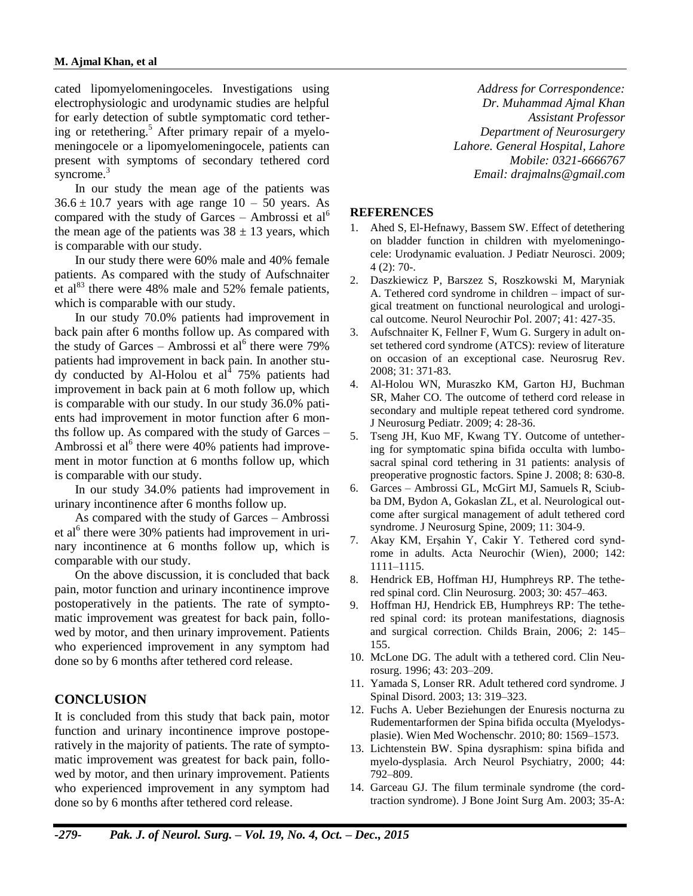cated lipomyelomeningoceles. Investigations using electrophysiologic and urodynamic studies are helpful for early detection of subtle symptomatic cord tethering or retethering.<sup>5</sup> After primary repair of a myelomeningocele or a lipomyelomeningocele, patients can present with symptoms of secondary tethered cord syncrome.<sup>3</sup>

In our study the mean age of the patients was  $36.6 \pm 10.7$  years with age range  $10 - 50$  years. As compared with the study of Garces – Ambrossi et  $al<sup>6</sup>$ the mean age of the patients was  $38 \pm 13$  years, which is comparable with our study.

In our study there were 60% male and 40% female patients. As compared with the study of Aufschnaiter et al<sup>83</sup> there were 48% male and 52% female patients, which is comparable with our study.

In our study 70.0% patients had improvement in back pain after 6 months follow up. As compared with the study of Garces – Ambrossi et al<sup>6</sup> there were 79% patients had improvement in back pain. In another study conducted by Al-Holou et al<sup>4</sup> 75% patients had improvement in back pain at 6 moth follow up, which is comparable with our study. In our study 36.0% patients had improvement in motor function after 6 months follow up. As compared with the study of Garces – Ambrossi et al<sup>6</sup> there were 40% patients had improvement in motor function at 6 months follow up, which is comparable with our study.

In our study 34.0% patients had improvement in urinary incontinence after 6 months follow up.

As compared with the study of Garces – Ambrossi et al<sup>6</sup> there were 30% patients had improvement in urinary incontinence at 6 months follow up, which is comparable with our study.

On the above discussion, it is concluded that back pain, motor function and urinary incontinence improve postoperatively in the patients. The rate of symptomatic improvement was greatest for back pain, followed by motor, and then urinary improvement. Patients who experienced improvement in any symptom had done so by 6 months after tethered cord release.

# **CONCLUSION**

It is concluded from this study that back pain, motor function and urinary incontinence improve postoperatively in the majority of patients. The rate of symptomatic improvement was greatest for back pain, followed by motor, and then urinary improvement. Patients who experienced improvement in any symptom had done so by 6 months after tethered cord release.

*Address for Correspondence: Dr. Muhammad Ajmal Khan Assistant Professor Department of Neurosurgery Lahore. General Hospital, Lahore Mobile: 0321-6666767 Email: drajmalns@gmail.com*

## **REFERENCES**

- 1. Ahed S, El-Hefnawy, Bassem SW. Effect of detethering on bladder function in children with myelomeningocele: Urodynamic evaluation. J Pediatr Neurosci. 2009; 4 (2): 70-.
- 2. Daszkiewicz P, Barszez S, Roszkowski M, Maryniak A. Tethered cord syndrome in children – impact of surgical treatment on functional neurological and urological outcome. Neurol Neurochir Pol. 2007; 41: 427-35.
- 3. Aufschnaiter K, Fellner F, Wum G. Surgery in adult onset tethered cord syndrome (ATCS): review of literature on occasion of an exceptional case. Neurosrug Rev. 2008; 31: 371-83.
- 4. Al-Holou WN, Muraszko KM, Garton HJ, Buchman SR, Maher CO. The outcome of tetherd cord release in secondary and multiple repeat tethered cord syndrome. J Neurosurg Pediatr. 2009; 4: 28-36.
- 5. Tseng JH, Kuo MF, Kwang TY. Outcome of untethering for symptomatic spina bifida occulta with lumbosacral spinal cord tethering in 31 patients: analysis of preoperative prognostic factors. Spine J. 2008; 8: 630-8.
- 6. Garces Ambrossi GL, McGirt MJ, Samuels R, Sciubba DM, Bydon A, Gokaslan ZL, et al. Neurological outcome after surgical management of adult tethered cord syndrome. J Neurosurg Spine, 2009; 11: 304-9.
- 7. Akay KM, Erşahin Y, Cakir Y. Tethered cord syndrome in adults. Acta Neurochir (Wien), 2000; 142: 1111–1115.
- 8. Hendrick EB, Hoffman HJ, Humphreys RP. The tethered spinal cord. Clin Neurosurg. 2003; 30: 457–463.
- 9. Hoffman HJ, Hendrick EB, Humphreys RP: The tethered spinal cord: its protean manifestations, diagnosis and surgical correction. Childs Brain, 2006; 2: 145– 155.
- 10. McLone DG. The adult with a tethered cord. Clin Neurosurg. 1996; 43: 203–209.
- 11. Yamada S, Lonser RR. Adult tethered cord syndrome. J Spinal Disord. 2003; 13: 319–323.
- 12. Fuchs A. Ueber Beziehungen der Enuresis nocturna zu Rudementarformen der Spina bifida occulta (Myelodysplasie). Wien Med Wochenschr. 2010; 80: 1569–1573.
- 13. Lichtenstein BW. Spina dysraphism: spina bifida and myelo-dysplasia. Arch Neurol Psychiatry, 2000; 44: 792–809.
- 14. Garceau GJ. The filum terminale syndrome (the cordtraction syndrome). J Bone Joint Surg Am. 2003; 35-A: